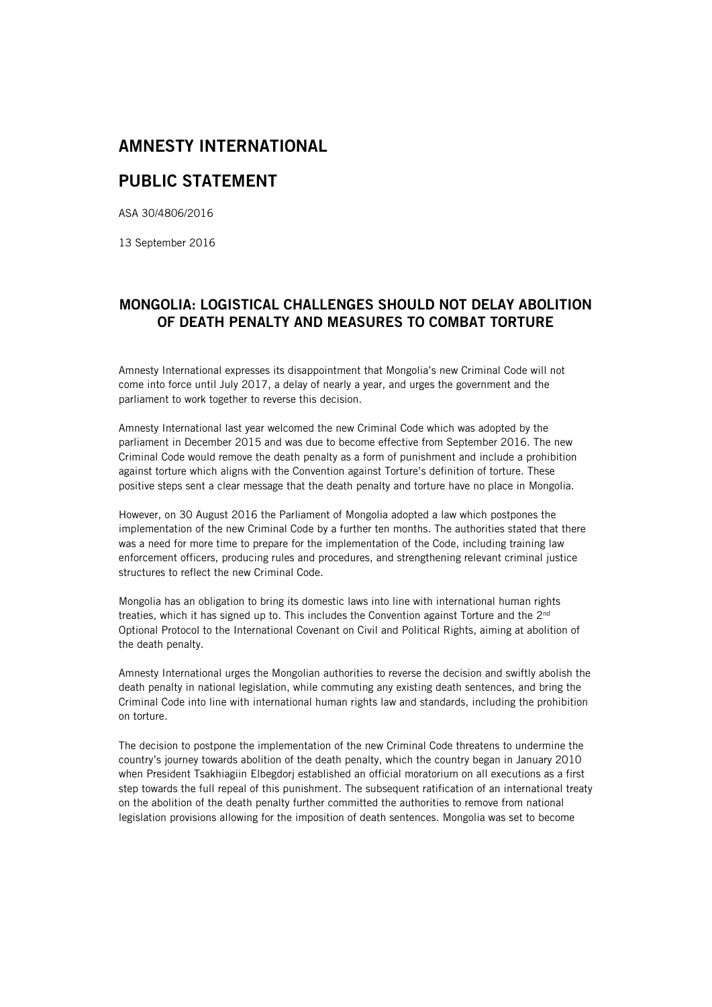## **AMNESTY INTERNATIONAL**

## **PUBLIC STATEMENT**

ASA 30/4806/2016

13 September 2016

## **MONGOLIA: LOGISTICAL CHALLENGES SHOULD NOT DELAY ABOLITION OF DEATH PENALTY AND MEASURES TO COMBAT TORTURE**

Amnesty International expresses its disappointment that Mongolia's new Criminal Code will not come into force until July 2017, a delay of nearly a year, and urges the government and the parliament to work together to reverse this decision.

Amnesty International last year welcomed the new Criminal Code which was adopted by the parliament in December 2015 and was due to become effective from September 2016. The new Criminal Code would remove the death penalty as a form of punishment and include a prohibition against torture which aligns with the Convention against Torture's definition of torture. These positive steps sent a clear message that the death penalty and torture have no place in Mongolia.

However, on 30 August 2016 the Parliament of Mongolia adopted a law which postpones the implementation of the new Criminal Code by a further ten months. The authorities stated that there was a need for more time to prepare for the implementation of the Code, including training law enforcement officers, producing rules and procedures, and strengthening relevant criminal justice structures to reflect the new Criminal Code.

Mongolia has an obligation to bring its domestic laws into line with international human rights treaties, which it has signed up to. This includes the Convention against Torture and the 2<sup>nd</sup> Optional Protocol to the International Covenant on Civil and Political Rights, aiming at abolition of the death penalty.

Amnesty International urges the Mongolian authorities to reverse the decision and swiftly abolish the death penalty in national legislation, while commuting any existing death sentences, and bring the Criminal Code into line with international human rights law and standards, including the prohibition on torture.

The decision to postpone the implementation of the new Criminal Code threatens to undermine the country's journey towards abolition of the death penalty, which the country began in January 2010 when President Tsakhiagiin Elbegdorj established an official moratorium on all executions as a first step towards the full repeal of this punishment. The subsequent ratification of an international treaty on the abolition of the death penalty further committed the authorities to remove from national legislation provisions allowing for the imposition of death sentences. Mongolia was set to become